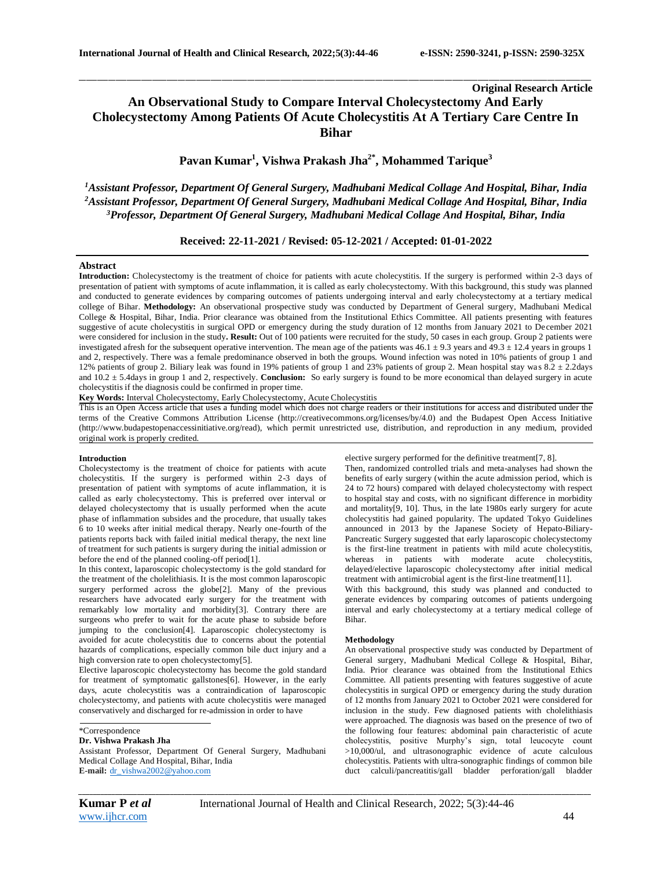# **Original Research Article An Observational Study to Compare Interval Cholecystectomy And Early Cholecystectomy Among Patients Of Acute Cholecystitis At A Tertiary Care Centre In Bihar**

\_\_\_\_\_\_\_\_\_\_\_\_\_\_\_\_\_\_\_\_\_\_\_\_\_\_\_\_\_\_\_\_\_\_\_\_\_\_\_\_\_\_\_\_\_\_\_\_\_\_\_\_\_\_\_\_\_\_\_\_\_\_\_\_\_\_\_\_\_\_\_\_\_\_\_\_\_\_\_\_\_\_\_\_\_\_\_\_\_\_\_\_\_\_\_\_\_\_\_\_\_\_\_\_\_\_\_\_\_\_\_\_\_\_\_\_\_\_\_\_\_\_\_\_\_\_\_\_\_\_\_\_\_\_\_\_\_\_\_\_

# **Pavan Kumar<sup>1</sup> , Vishwa Prakash Jha2\* , Mohammed Tarique<sup>3</sup>**

*<sup>1</sup>Assistant Professor, Department Of General Surgery, Madhubani Medical Collage And Hospital, Bihar, India <sup>2</sup>Assistant Professor, Department Of General Surgery, Madhubani Medical Collage And Hospital, Bihar, India <sup>3</sup>Professor, Department Of General Surgery, Madhubani Medical Collage And Hospital, Bihar, India*

**Received: 22-11-2021 / Revised: 05-12-2021 / Accepted: 01-01-2022**

### **Abstract**

**Introduction:** Cholecystectomy is the treatment of choice for patients with acute cholecystitis. If the surgery is performed within 2-3 days of presentation of patient with symptoms of acute inflammation, it is called as early cholecystectomy. With this background, this study was planned and conducted to generate evidences by comparing outcomes of patients undergoing interval and early cholecystectomy at a tertiary medical college of Bihar. **Methodology:** An observational prospective study was conducted by Department of General surgery, Madhubani Medical College & Hospital, Bihar, India. Prior clearance was obtained from the Institutional Ethics Committee. All patients presenting with features suggestive of acute cholecystitis in surgical OPD or emergency during the study duration of 12 months from January 2021 to December 2021 were considered for inclusion in the study**. Result:** Out of 100 patients were recruited for the study, 50 cases in each group. Group 2 patients were investigated afresh for the subsequent operative intervention. The mean age of the patients was  $46.1 \pm 9.3$  years and  $49.3 \pm 12.4$  years in groups 1 and 2, respectively. There was a female predominance observed in both the groups. Wound infection was noted in 10% patients of group 1 and 12% patients of group 2. Biliary leak was found in 19% patients of group 1 and 23% patients of group 2. Mean hospital stay wa s 8.2 ± 2.2days and 10.2 ± 5.4days in group 1 and 2, respectively. **Conclusion:** So early surgery is found to be more economical than delayed surgery in acute cholecystitis if the diagnosis could be confirmed in proper time.

**Key Words:** Interval Cholecystectomy, Early Cholecystectomy, Acute Cholecystitis

This is an Open Access article that uses a funding model which does not charge readers or their institutions for access and distributed under the terms of the Creative Commons Attribution License (http://creativecommons.org/licenses/by/4.0) and the Budapest Open Access Initiative (http://www.budapestopenaccessinitiative.org/read), which permit unrestricted use, distribution, and reproduction in any medium, provided original work is properly credited.

#### **Introduction**

Cholecystectomy is the treatment of choice for patients with acute cholecystitis. If the surgery is performed within 2-3 days of presentation of patient with symptoms of acute inflammation, it is called as early cholecystectomy. This is preferred over interval or delayed cholecystectomy that is usually performed when the acute phase of inflammation subsides and the procedure, that usually takes 6 to 10 weeks after initial medical therapy. Nearly one-fourth of the patients reports back with failed initial medical therapy, the next line of treatment for such patients is surgery during the initial admission or before the end of the planned cooling-off period[1].

In this context, laparoscopic cholecystectomy is the gold standard for the treatment of the cholelithiasis. It is the most common laparoscopic surgery performed across the globe[2]. Many of the previous researchers have advocated early surgery for the treatment with remarkably low mortality and morbidity[3]. Contrary there are surgeons who prefer to wait for the acute phase to subside before jumping to the conclusion[4]. Laparoscopic cholecystectomy is avoided for acute cholecystitis due to concerns about the potential hazards of complications, especially common bile duct injury and a high conversion rate to open cholecystectomy[5].

Elective laparoscopic cholecystectomy has become the gold standard for treatment of symptomatic gallstones[6]. However, in the early days, acute cholecystitis was a contraindication of laparoscopic cholecystectomy, and patients with acute cholecystitis were managed conservatively and discharged for re-admission in order to have

### **Dr. Vishwa Prakash Jha**

Assistant Professor, Department Of General Surgery, Madhubani Medical Collage And Hospital, Bihar, India **E-mail:** [dr\\_vishwa2002@yahoo.com](mailto:dr_vishwa2002@yahoo.com)

elective surgery performed for the definitive treatment[7, 8].

Then, randomized controlled trials and meta-analyses had shown the benefits of early surgery (within the acute admission period, which is 24 to 72 hours) compared with delayed cholecystectomy with respect to hospital stay and costs, with no significant difference in morbidity and mortality[9, 10]. Thus, in the late 1980s early surgery for acute cholecystitis had gained popularity. The updated Tokyo Guidelines announced in 2013 by the Japanese Society of Hepato-Biliary-Pancreatic Surgery suggested that early laparoscopic cholecystectomy is the first-line treatment in patients with mild acute cholecystitis, whereas in patients with moderate acute cholecystitis, delayed/elective laparoscopic cholecystectomy after initial medical treatment with antimicrobial agent is the first-line treatment[11].

With this background, this study was planned and conducted to generate evidences by comparing outcomes of patients undergoing interval and early cholecystectomy at a tertiary medical college of Bihar.

### **Methodology**

An observational prospective study was conducted by Department of General surgery, Madhubani Medical College & Hospital, Bihar, India. Prior clearance was obtained from the Institutional Ethics Committee. All patients presenting with features suggestive of acute cholecystitis in surgical OPD or emergency during the study duration of 12 months from January 2021 to October 2021 were considered for inclusion in the study. Few diagnosed patients with cholelithiasis were approached. The diagnosis was based on the presence of two of the following four features: abdominal pain characteristic of acute cholecystitis, positive Murphy's sign, total leucocyte count >10,000/ul, and ultrasonographic evidence of acute calculous cholecystitis. Patients with ultra-sonographic findings of common bile duct calculi/pancreatitis/gall bladder perforation/gall bladder

*\_\_\_\_\_\_\_\_\_\_\_\_\_\_\_\_\_\_\_\_\_\_\_\_\_\_\_\_\_\_\_\_\_\_\_\_\_\_\_\_\_\_\_\_\_\_\_\_\_\_\_\_\_\_\_\_\_\_\_\_\_\_\_\_\_\_\_\_\_\_\_\_\_\_\_\_\_\_\_\_\_\_\_\_\_\_\_\_\_\_\_\_\_\_\_\_\_\_\_\_\_\_\_\_\_\_\_\_\_\_\_\_\_\_\_\_\_\_\_\_\_\_\_\_\_\_\_\_\_\_\_\_\_\_\_\_\_\_\_\_*

<sup>\*</sup>Correspondence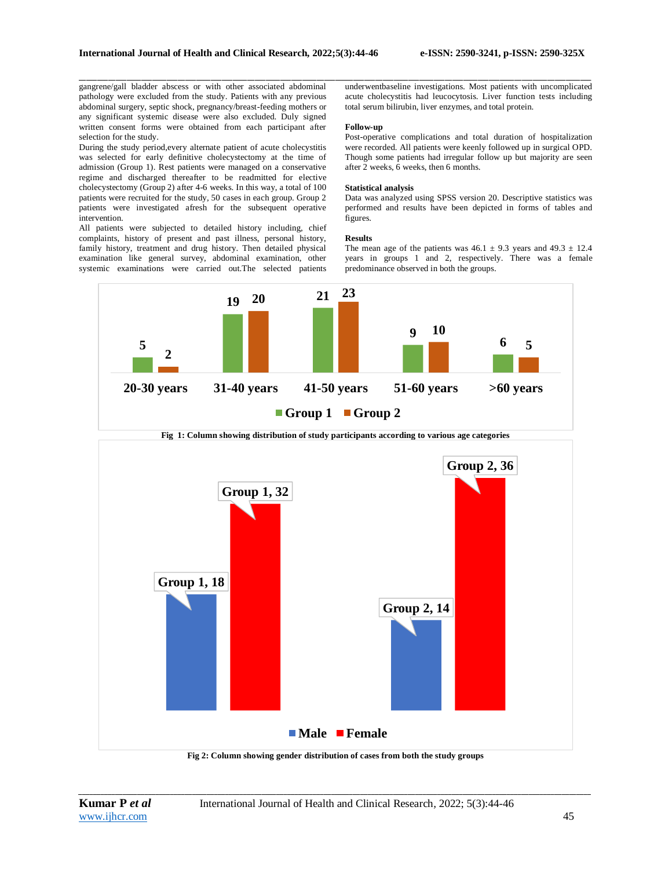gangrene/gall bladder abscess or with other associated abdominal pathology were excluded from the study. Patients with any previous abdominal surgery, septic shock, pregnancy/breast-feeding mothers or any significant systemic disease were also excluded. Duly signed written consent forms were obtained from each participant after selection for the study.

During the study period,every alternate patient of acute cholecystitis was selected for early definitive cholecystectomy at the time of admission (Group 1). Rest patients were managed on a conservative regime and discharged thereafter to be readmitted for elective cholecystectomy (Group 2) after 4-6 weeks. In this way, a total of 100 patients were recruited for the study, 50 cases in each group. Group 2 patients were investigated afresh for the subsequent operative intervention.

All patients were subjected to detailed history including, chief complaints, history of present and past illness, personal history, family history, treatment and drug history. Then detailed physical examination like general survey, abdominal examination, other systemic examinations were carried out.The selected patients

\_\_\_\_\_\_\_\_\_\_\_\_\_\_\_\_\_\_\_\_\_\_\_\_\_\_\_\_\_\_\_\_\_\_\_\_\_\_\_\_\_\_\_\_\_\_\_\_\_\_\_\_\_\_\_\_\_\_\_\_\_\_\_\_\_\_\_\_\_\_\_\_\_\_\_\_\_\_\_\_\_\_\_\_\_\_\_\_\_\_\_\_\_\_\_\_\_\_\_\_\_\_\_\_\_\_\_\_\_\_\_\_\_\_\_\_\_\_\_\_\_\_\_\_\_\_\_\_\_\_\_\_\_\_\_\_\_\_\_\_ underwentbaseline investigations. Most patients with uncomplicated acute cholecystitis had leucocytosis. Liver function tests including total serum bilirubin, liver enzymes, and total protein.

#### **Follow-up**

Post-operative complications and total duration of hospitalization were recorded. All patients were keenly followed up in surgical OPD. Though some patients had irregular follow up but majority are seen after 2 weeks, 6 weeks, then 6 months.

#### **Statistical analysis**

Data was analyzed using SPSS version 20. Descriptive statistics was performed and results have been depicted in forms of tables and figures.

#### **Results**

The mean age of the patients was  $46.1 \pm 9.3$  years and  $49.3 \pm 12.4$ years in groups 1 and 2, respectively. There was a female predominance observed in both the groups.



**Fig 1: Column showing distribution of study participants according to various age categories**



**Fig 2: Column showing gender distribution of cases from both the study groups**

*\_\_\_\_\_\_\_\_\_\_\_\_\_\_\_\_\_\_\_\_\_\_\_\_\_\_\_\_\_\_\_\_\_\_\_\_\_\_\_\_\_\_\_\_\_\_\_\_\_\_\_\_\_\_\_\_\_\_\_\_\_\_\_\_\_\_\_\_\_\_\_\_\_\_\_\_\_\_\_\_\_\_\_\_\_\_\_\_\_\_\_\_\_\_\_\_\_\_\_\_\_\_\_\_\_\_\_\_\_\_\_\_\_\_\_\_\_\_\_\_\_\_\_\_\_\_\_\_\_\_\_\_\_\_\_\_\_\_\_\_*